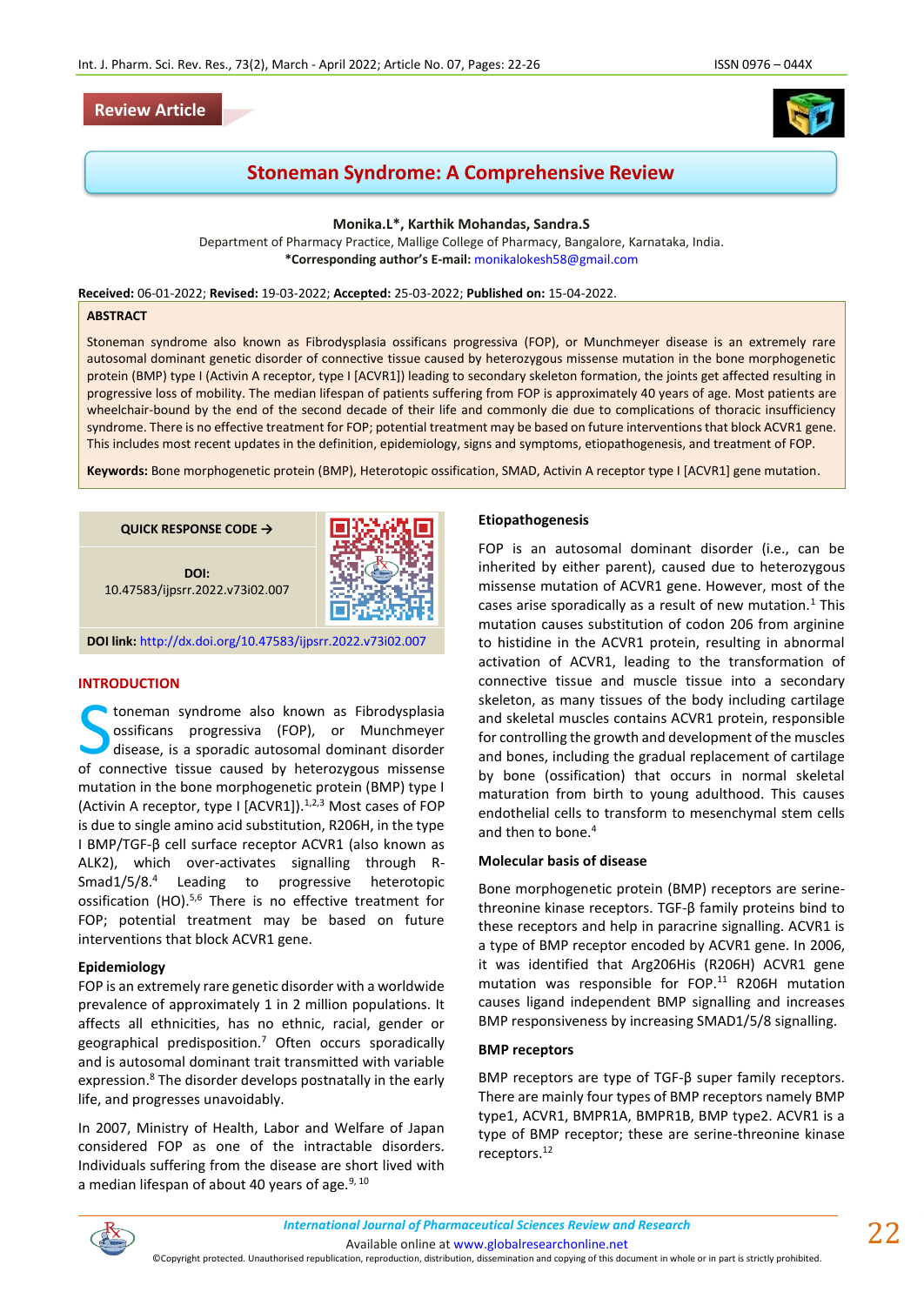# **Review Article**



# **Stoneman Syndrome: A Comprehensive Review**

**Monika.L\*, Karthik Mohandas, Sandra.S**

Department of Pharmacy Practice, Mallige College of Pharmacy, Bangalore, Karnataka, India. **\*Corresponding author's E-mail:** [monikalokesh58@gmail.com](mailto:monikalokesh58@gmail.com)

**Received:** 06-01-2022; **Revised:** 19-03-2022; **Accepted:** 25-03-2022; **Published on:** 15-04-2022.

#### **ABSTRACT**

Stoneman syndrome also known as Fibrodysplasia ossificans progressiva (FOP), or Munchmeyer disease is an extremely rare autosomal dominant genetic disorder of connective tissue caused by heterozygous missense mutation in the bone morphogenetic protein (BMP) type I (Activin A receptor, type I [ACVR1]) leading to secondary skeleton formation, the joints get affected resulting in progressive loss of mobility. The median lifespan of patients suffering from FOP is approximately 40 years of age. Most patients are wheelchair-bound by the end of the second decade of their life and commonly die due to complications of thoracic insufficiency syndrome. There is no effective treatment for FOP; potential treatment may be based on future interventions that block ACVR1 gene. This includes most recent updates in the definition, epidemiology, signs and symptoms, etiopathogenesis, and treatment of FOP.

**Keywords:** Bone morphogenetic protein (BMP), Heterotopic ossification, SMAD, Activin A receptor type I [ACVR1] gene mutation.

**QUICK RESPONSE CODE →**

**DOI:** 10.47583/ijpsrr.2022.v73i02.007



**DOI link:** <http://dx.doi.org/10.47583/ijpsrr.2022.v73i02.007>

### **INTRODUCTION**

toneman syndrome also known as Fibrodysplasia ossificans progressiva (FOP), or Munchmeyer disease, is a sporadic autosomal dominant disorder Connective tissue caused by heterozygous missense of connective tissue caused by heterozygous missense mutation in the bone morphogenetic protein (BMP) type I (Activin A receptor, type I [ACVR1]). $1,2,3$  Most cases of FOP is due to single amino acid substitution, R206H, in the type I BMP/TGF-β cell surface receptor ACVR1 (also known as ALK2), which over-activates signalling through R-Smad1/5/8.<sup>4</sup> Leading to progressive heterotopic ossification (HO).5,6 There is no effective treatment for FOP; potential treatment may be based on future interventions that block ACVR1 gene.

### **Epidemiology**

FOP is an extremely rare genetic disorder with a worldwide prevalence of approximately 1 in 2 million populations. It affects all ethnicities, has no ethnic, racial, gender or geographical predisposition.<sup>7</sup> Often occurs sporadically and is autosomal dominant trait transmitted with variable expression.<sup>8</sup> The disorder develops postnatally in the early life, and progresses unavoidably.

In 2007, Ministry of Health, Labor and Welfare of Japan considered FOP as one of the intractable disorders. Individuals suffering from the disease are short lived with a median lifespan of about 40 years of age. $9,10$ 

#### **Etiopathogenesis**

FOP is an autosomal dominant disorder (i.e., can be inherited by either parent), caused due to heterozygous missense mutation of ACVR1 gene. However, most of the cases arise sporadically as a result of new mutation.<sup>1</sup> This mutation causes substitution of codon 206 from arginine to histidine in the ACVR1 protein, resulting in abnormal activation of ACVR1, leading to the transformation of connective tissue and muscle tissue into a secondary skeleton, as many tissues of the body including cartilage and skeletal muscles contains ACVR1 protein, responsible for controlling the growth and development of the muscles and bones, including the gradual replacement of cartilage by bone (ossification) that occurs in normal skeletal maturation from birth to young adulthood. This causes endothelial cells to transform to mesenchymal stem cells and then to bone.<sup>4</sup>

### **Molecular basis of disease**

Bone morphogenetic protein (BMP) receptors are serinethreonine kinase receptors. TGF-β family proteins bind to these receptors and help in paracrine signalling. ACVR1 is a type of BMP receptor encoded by ACVR1 gene. In 2006, it was identified that Arg206His (R206H) ACVR1 gene mutation was responsible for FOP. $11$  R206H mutation causes ligand independent BMP signalling and increases BMP responsiveness by increasing SMAD1/5/8 signalling.

### **BMP receptors**

BMP receptors are type of TGF-β super family receptors. There are mainly four types of BMP receptors namely BMP type1, ACVR1, BMPR1A, BMPR1B, BMP type2. ACVR1 is a type of BMP receptor; these are serine-threonine kinase receptors.<sup>12</sup>

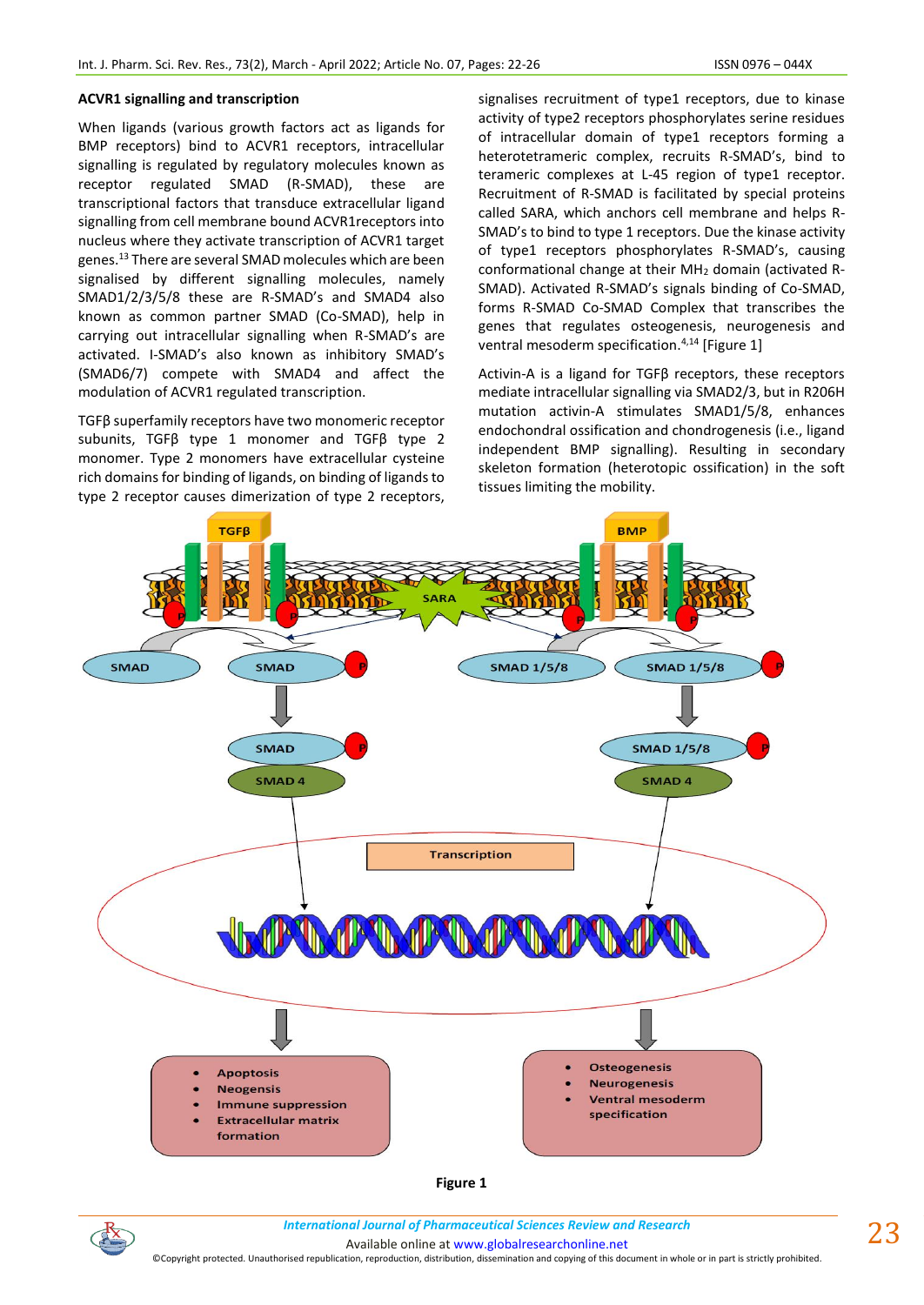### **ACVR1 signalling and transcription**

When ligands (various growth factors act as ligands for BMP receptors) bind to ACVR1 receptors, intracellular signalling is regulated by regulatory molecules known as receptor regulated SMAD (R-SMAD), these are transcriptional factors that transduce extracellular ligand signalling from cell membrane bound ACVR1receptors into nucleus where they activate transcription of ACVR1 target genes.<sup>13</sup> There are several SMAD molecules which are been signalised by different signalling molecules, namely SMAD1/2/3/5/8 these are R-SMAD's and SMAD4 also known as common partner SMAD (Co-SMAD), help in carrying out intracellular signalling when R-SMAD's are activated. I-SMAD's also known as inhibitory SMAD's (SMAD6/7) compete with SMAD4 and affect the modulation of ACVR1 regulated transcription.

TGFβ superfamily receptors have two monomeric receptor subunits, TGFβ type 1 monomer and TGFβ type 2 monomer. Type 2 monomers have extracellular cysteine rich domains for binding of ligands, on binding of ligands to type 2 receptor causes dimerization of type 2 receptors,

signalises recruitment of type1 receptors, due to kinase activity of type2 receptors phosphorylates serine residues of intracellular domain of type1 receptors forming a heterotetrameric complex, recruits R-SMAD's, bind to terameric complexes at L-45 region of type1 receptor. Recruitment of R-SMAD is facilitated by special proteins called SARA, which anchors cell membrane and helps R-SMAD's to bind to type 1 receptors. Due the kinase activity of type1 receptors phosphorylates R-SMAD's, causing conformational change at their MH<sup>2</sup> domain (activated R-SMAD). Activated R-SMAD's signals binding of Co-SMAD, forms R-SMAD Co-SMAD Complex that transcribes the genes that regulates osteogenesis, neurogenesis and ventral mesoderm specification.<sup>4,14</sup> [Figure 1]

Activin-A is a ligand for TGFβ receptors, these receptors mediate intracellular signalling via SMAD2/3, but in R206H mutation activin-A stimulates SMAD1/5/8, enhances endochondral ossification and chondrogenesis (i.e., ligand independent BMP signalling). Resulting in secondary skeleton formation (heterotopic ossification) in the soft tissues limiting the mobility.



**Figure 1**

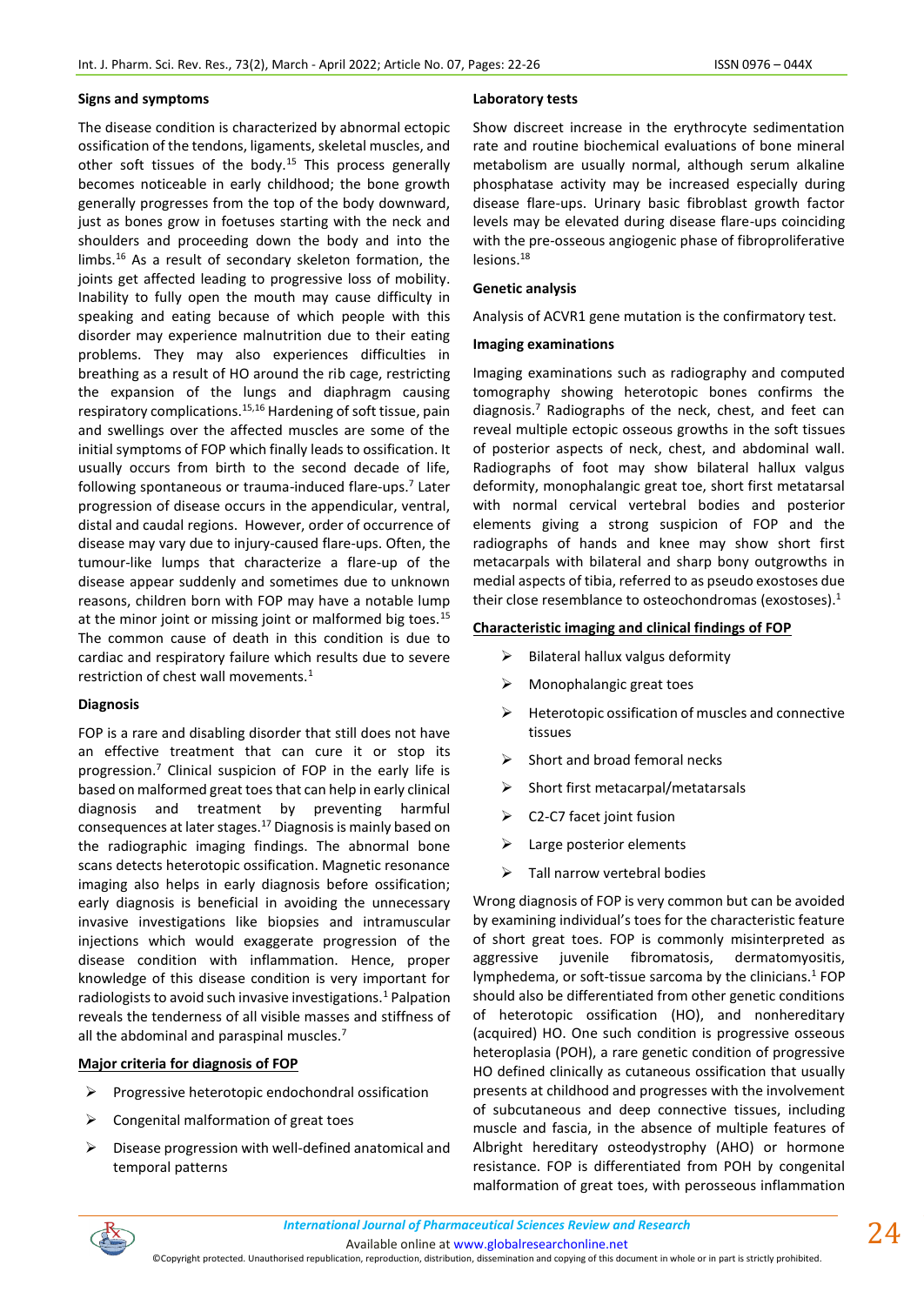# **Signs and symptoms**

The disease condition is characterized by abnormal ectopic ossification of the tendons, ligaments, skeletal muscles, and other soft tissues of the body.<sup>15</sup> This process generally becomes noticeable in early childhood; the bone growth generally progresses from the top of the body downward, just as bones grow in foetuses starting with the neck and shoulders and proceeding down the body and into the limbs.<sup>16</sup> As a result of secondary skeleton formation, the joints get affected leading to progressive loss of mobility. Inability to fully open the mouth may cause difficulty in speaking and eating because of which people with this disorder may experience malnutrition due to their eating problems. They may also experiences difficulties in breathing as a result of HO around the rib cage, restricting the expansion of the lungs and diaphragm causing respiratory complications.15,16 Hardening of soft tissue, pain and swellings over the affected muscles are some of the initial symptoms of FOP which finally leads to ossification. It usually occurs from birth to the second decade of life, following spontaneous or trauma-induced flare-ups.<sup>7</sup> Later progression of disease occurs in the appendicular, ventral, distal and caudal regions. However, order of occurrence of disease may vary due to injury-caused flare-ups. Often, the tumour-like lumps that characterize a flare-up of the disease appear suddenly and sometimes due to unknown reasons, children born with FOP may have a notable lump at the minor joint or missing joint or malformed big toes.<sup>15</sup> The common cause of death in this condition is due to cardiac and respiratory failure which results due to severe restriction of chest wall movements.<sup>1</sup>

# **Diagnosis**

FOP is a rare and disabling disorder that still does not have an effective treatment that can cure it or stop its progression.<sup>7</sup> Clinical suspicion of FOP in the early life is based on malformed great toes that can help in early clinical diagnosis and treatment by preventing harmful consequences at later stages.<sup>17</sup> Diagnosis is mainly based on the radiographic imaging findings. The abnormal bone scans detects heterotopic ossification. Magnetic resonance imaging also helps in early diagnosis before ossification; early diagnosis is beneficial in avoiding the unnecessary invasive investigations like biopsies and intramuscular injections which would exaggerate progression of the disease condition with inflammation. Hence, proper knowledge of this disease condition is very important for radiologists to avoid such invasive investigations.<sup>1</sup> Palpation reveals the tenderness of all visible masses and stiffness of all the abdominal and paraspinal muscles.<sup>7</sup>

# **Major criteria for diagnosis of FOP**

- ➢ Progressive heterotopic endochondral ossification
- $\triangleright$  Congenital malformation of great toes
- ➢ Disease progression with well-defined anatomical and temporal patterns

### **Laboratory tests**

Show discreet increase in the erythrocyte sedimentation rate and routine biochemical evaluations of bone mineral metabolism are usually normal, although serum alkaline phosphatase activity may be increased especially during disease flare-ups. Urinary basic fibroblast growth factor levels may be elevated during disease flare-ups coinciding with the pre-osseous angiogenic phase of fibroproliferative lesions.<sup>18</sup>

### **Genetic analysis**

Analysis of ACVR1 gene mutation is the confirmatory test.

### **Imaging examinations**

Imaging examinations such as radiography and computed tomography showing heterotopic bones confirms the diagnosis. $7$  Radiographs of the neck, chest, and feet can reveal multiple ectopic osseous growths in the soft tissues of posterior aspects of neck, chest, and abdominal wall. Radiographs of foot may show bilateral hallux valgus deformity, monophalangic great toe, short first metatarsal with normal cervical vertebral bodies and posterior elements giving a strong suspicion of FOP and the radiographs of hands and knee may show short first metacarpals with bilateral and sharp bony outgrowths in medial aspects of tibia, referred to as pseudo exostoses due their close resemblance to osteochondromas (exostoses). $<sup>1</sup>$ </sup>

# **Characteristic imaging and clinical findings of FOP**

- ➢ Bilateral hallux valgus deformity
- ➢ Monophalangic great toes
- ➢ Heterotopic ossification of muscles and connective tissues
- Short and broad femoral necks
- ➢ Short first metacarpal/metatarsals
- ➢ C2-C7 facet joint fusion
- ➢ Large posterior elements
- $\triangleright$  Tall narrow vertebral bodies

Wrong diagnosis of FOP is very common but can be avoided by examining individual's toes for the characteristic feature of short great toes. FOP is commonly misinterpreted as aggressive juvenile fibromatosis, dermatomyositis, lymphedema, or soft-tissue sarcoma by the clinicians.<sup>1</sup> FOP should also be differentiated from other genetic conditions of heterotopic ossification (HO), and nonhereditary (acquired) HO. One such condition is progressive osseous heteroplasia (POH), a rare genetic condition of progressive HO defined clinically as cutaneous ossification that usually presents at childhood and progresses with the involvement of subcutaneous and deep connective tissues, including muscle and fascia, in the absence of multiple features of Albright hereditary osteodystrophy (AHO) or hormone resistance. FOP is differentiated from POH by congenital malformation of great toes, with perosseous inflammation

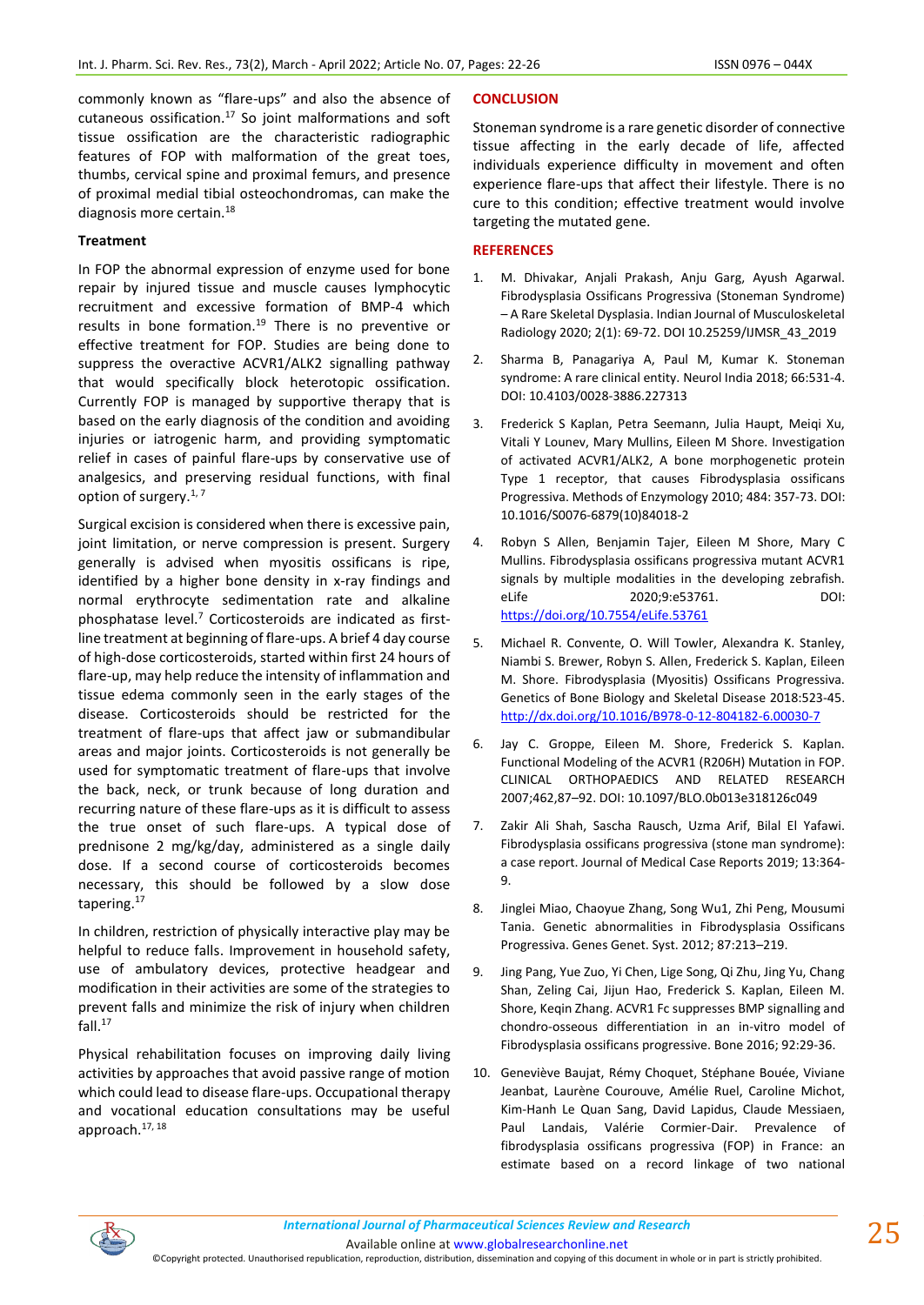commonly known as "flare-ups" and also the absence of cutaneous ossification. $17$  So joint malformations and soft tissue ossification are the characteristic radiographic features of FOP with malformation of the great toes, thumbs, cervical spine and proximal femurs, and presence of proximal medial tibial osteochondromas, can make the diagnosis more certain.<sup>18</sup>

# **Treatment**

In FOP the abnormal expression of enzyme used for bone repair by injured tissue and muscle causes lymphocytic recruitment and excessive formation of BMP-4 which results in bone formation.<sup>19</sup> There is no preventive or effective treatment for FOP. Studies are being done to suppress the overactive ACVR1/ALK2 signalling pathway that would specifically block heterotopic ossification. Currently FOP is managed by supportive therapy that is based on the early diagnosis of the condition and avoiding injuries or iatrogenic harm, and providing symptomatic relief in cases of painful flare-ups by conservative use of analgesics, and preserving residual functions, with final option of surgery. $1, 7$ 

Surgical excision is considered when there is excessive pain, joint limitation, or nerve compression is present. Surgery generally is advised when myositis ossificans is ripe, identified by a higher bone density in x-ray findings and normal erythrocyte sedimentation rate and alkaline phosphatase level. $7$  Corticosteroids are indicated as firstline treatment at beginning of flare-ups. A brief 4 day course of high-dose corticosteroids, started within first 24 hours of flare-up, may help reduce the intensity of inflammation and tissue edema commonly seen in the early stages of the disease. Corticosteroids should be restricted for the treatment of flare-ups that affect jaw or submandibular areas and major joints. Corticosteroids is not generally be used for symptomatic treatment of flare-ups that involve the back, neck, or trunk because of long duration and recurring nature of these flare-ups as it is difficult to assess the true onset of such flare-ups. A typical dose of prednisone 2 mg/kg/day, administered as a single daily dose. If a second course of corticosteroids becomes necessary, this should be followed by a slow dose tapering.<sup>17</sup>

In children, restriction of physically interactive play may be helpful to reduce falls. Improvement in household safety, use of ambulatory devices, protective headgear and modification in their activities are some of the strategies to prevent falls and minimize the risk of injury when children fall. $17$ 

Physical rehabilitation focuses on improving daily living activities by approaches that avoid passive range of motion which could lead to disease flare-ups. Occupational therapy and vocational education consultations may be useful approach.17, 18

# **CONCLUSION**

Stoneman syndrome is a rare genetic disorder of connective tissue affecting in the early decade of life, affected individuals experience difficulty in movement and often experience flare-ups that affect their lifestyle. There is no cure to this condition; effective treatment would involve targeting the mutated gene.

### **REFERENCES**

- 1. M. Dhivakar, Anjali Prakash, Anju Garg, Ayush Agarwal. Fibrodysplasia Ossificans Progressiva (Stoneman Syndrome) – A Rare Skeletal Dysplasia. Indian Journal of Musculoskeletal Radiology 2020; 2(1): 69-72. DOI 10.25259/IJMSR\_43\_2019
- 2. Sharma B, Panagariya A, Paul M, Kumar K. Stoneman syndrome: A rare clinical entity. Neurol India 2018; 66:531-4. DOI: 10.4103/0028-3886.227313
- 3. Frederick S Kaplan, Petra Seemann, Julia Haupt, Meiqi Xu, Vitali Y Lounev, Mary Mullins, Eileen M Shore. Investigation of activated ACVR1/ALK2, A bone morphogenetic protein Type 1 receptor, that causes Fibrodysplasia ossificans Progressiva. Methods of Enzymology 2010; 484: 357-73. DOI: 10.1016/S0076-6879(10)84018-2
- 4. Robyn S Allen, Benjamin Tajer, Eileen M Shore, Mary C Mullins. Fibrodysplasia ossificans progressiva mutant ACVR1 signals by multiple modalities in the developing zebrafish. eLife 2020;9:e53761. DOI: <https://doi.org/10.7554/eLife.53761>
- 5. Michael R. Convente, O. Will Towler, Alexandra K. Stanley, Niambi S. Brewer, Robyn S. Allen, Frederick S. Kaplan, Eileen M. Shore. Fibrodysplasia (Myositis) Ossificans Progressiva. Genetics of Bone Biology and Skeletal Disease 2018:523-45. <http://dx.doi.org/10.1016/B978-0-12-804182-6.00030-7>
- 6. Jay C. Groppe, Eileen M. Shore, Frederick S. Kaplan. Functional Modeling of the ACVR1 (R206H) Mutation in FOP. CLINICAL ORTHOPAEDICS AND RELATED RESEARCH 2007;462,87–92. DOI: 10.1097/BLO.0b013e318126c049
- 7. Zakir Ali Shah, Sascha Rausch, Uzma Arif, Bilal El Yafawi. Fibrodysplasia ossificans progressiva (stone man syndrome): a case report. Journal of Medical Case Reports 2019; 13:364- 9.
- 8. Jinglei Miao, Chaoyue Zhang, Song Wu1, Zhi Peng, Mousumi Tania. Genetic abnormalities in Fibrodysplasia Ossificans Progressiva. Genes Genet. Syst. 2012; 87:213–219.
- 9. Jing Pang, Yue Zuo, Yi Chen, Lige Song, Qi Zhu, Jing Yu, Chang Shan, Zeling Cai, Jijun Hao, Frederick S. Kaplan, Eileen M. Shore, Keqin Zhang. ACVR1 Fc suppresses BMP signalling and chondro-osseous differentiation in an in-vitro model of Fibrodysplasia ossificans progressive. Bone 2016; 92:29-36.
- 10. Geneviève Baujat, Rémy Choquet, Stéphane Bouée, Viviane Jeanbat, Laurène Courouve, Amélie Ruel, Caroline Michot, Kim-Hanh Le Quan Sang, David Lapidus, Claude Messiaen, Paul Landais, Valérie Cormier-Dair. Prevalence of fibrodysplasia ossificans progressiva (FOP) in France: an estimate based on a record linkage of two national